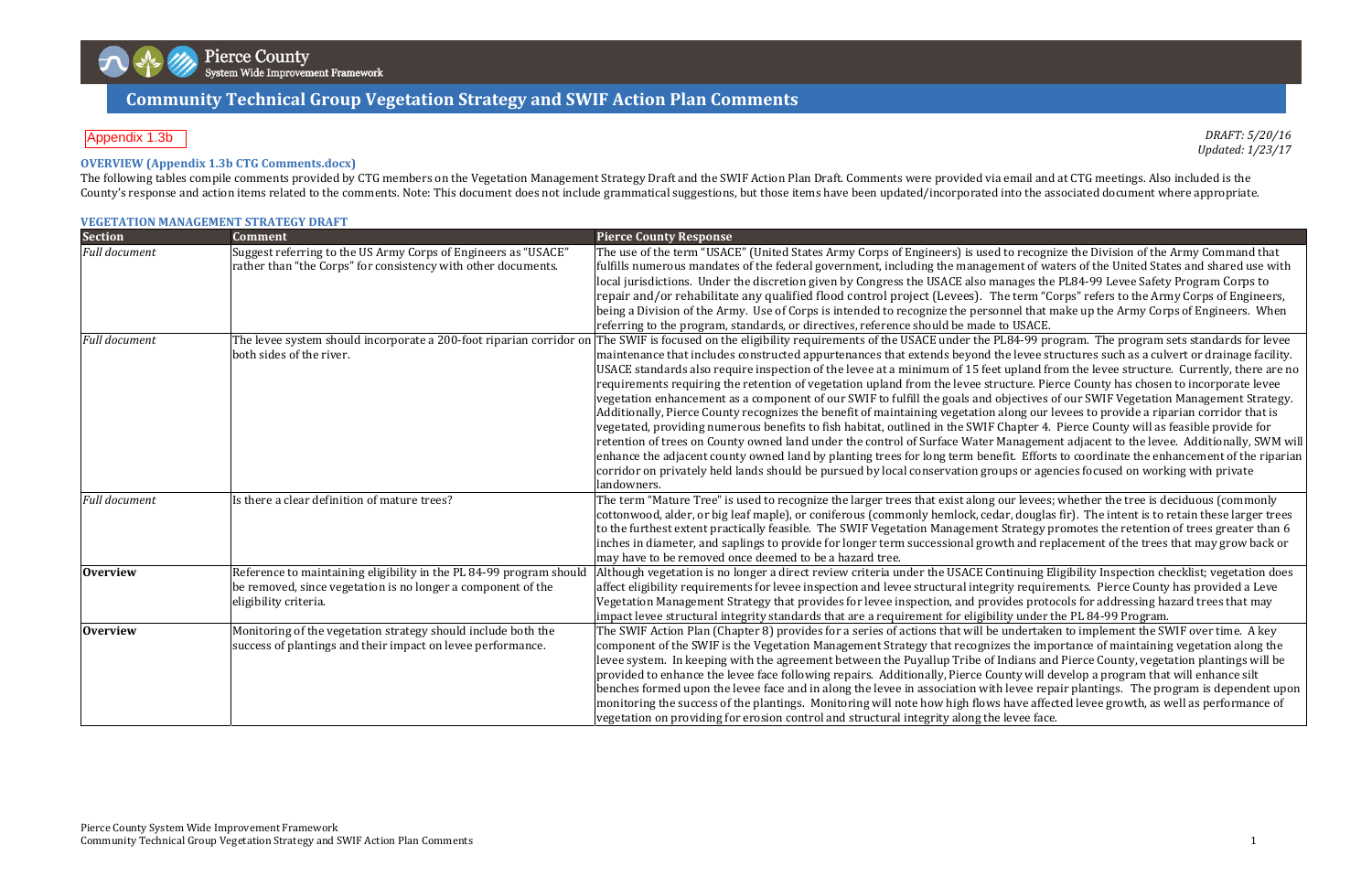# **Communit Communityy Technical TechnicalGrou Groupp Meetin Vegetation g Agenda Strategy and SWIF Action Plan Comments**

*DRAFT: 5/20/16 Updated: 1/23/17*

to recognize the Division of the Army Command that nent of waters of the United States and shared use with nages the PL84-99 Levee Safety Program Corps to e term "Corps" refers to the Army Corps of Engineers, nel that make up the Army Corps of Engineers. When

 $1.84-99$  program. The program sets standards for levee e levee structures such as a culvert or drainage facility. upland from the levee structure. Currently, there are no cture. Pierce County has chosen to incorporate levee biectives of our SWIF Vegetation Management Strategy. long our levees to provide a riparian corridor that is hapter 4. Pierce County will as feasible provide for Ianagement adjacent to the levee. Additionally, SWM will fit. Efforts to coordinate the enhancement of the riparian ps or agencies focused on working with private

ur levees; whether the tree is deciduous (commonly r, douglas fir). The intent is to retain these larger trees Strategy promotes the retention of trees greater than  $6$ th and replacement of the trees that may grow back or

tinuing Eligibility Inspection checklist; vegetation does ty requirements. Pierce County has provided a Leve des protocols for addressing hazard trees that may ty under the PL 84-99 Program.

 $\mu$ ndertaken to implement the SWIF over time. A key s the importance of maintaining vegetation along the Idians and Pierce County, vegetation plantings will be nty will develop a program that will enhance silt levee repair plantings. The program is dependent upon have affected levee growth, as well as performance of

#### **OVERVIEW (Appendix 1.3b CTG Comments.docx)**

The following tables compile comments provided by CTG members on the Vegetation Management Strategy Draft and the SWIF Action Plan Draft. Comments were provided via email and at CTG meetings. Also included is the County's response and action items related to the comments. Note: This document does not include grammatical suggestions, but those items have been updated/incorporated into the associated document where appropriate.

|                      | <b>VEGETATION MANAGEMENT STRATEGY DRAFT</b>                                                                                                                  |                                                                                                                                                                                                                                                                                                                                                                                                                                                                                                                                                                                                                                                                                                                                                                                                                                                                                                                                                           |
|----------------------|--------------------------------------------------------------------------------------------------------------------------------------------------------------|-----------------------------------------------------------------------------------------------------------------------------------------------------------------------------------------------------------------------------------------------------------------------------------------------------------------------------------------------------------------------------------------------------------------------------------------------------------------------------------------------------------------------------------------------------------------------------------------------------------------------------------------------------------------------------------------------------------------------------------------------------------------------------------------------------------------------------------------------------------------------------------------------------------------------------------------------------------|
| <b>Section</b>       | <b>Comment</b>                                                                                                                                               | <b>Pierce County Response</b>                                                                                                                                                                                                                                                                                                                                                                                                                                                                                                                                                                                                                                                                                                                                                                                                                                                                                                                             |
| <b>Full document</b> | Suggest referring to the US Army Corps of Engineers as "USACE"<br>rather than "the Corps" for consistency with other documents.                              | The use of the term "USACE" (United States Army Corps of Engineers) is used to recogniz<br>fulfills numerous mandates of the federal government, including the management of wat<br>local jurisdictions. Under the discretion given by Congress the USACE also manages the<br>repair and/or rehabilitate any qualified flood control project (Levees). The term "Co<br>being a Division of the Army. Use of Corps is intended to recognize the personnel that m<br>referring to the program, standards, or directives, reference should be made to USACE.                                                                                                                                                                                                                                                                                                                                                                                                 |
| <b>Full document</b> | The levee system should incorporate a 200-foot riparian corridor on<br>both sides of the river.                                                              | The SWIF is focused on the eligibility requirements of the USACE under the PL84-99 pro<br>maintenance that includes constructed appurtenances that extends beyond the levee str<br>USACE standards also require inspection of the levee at a minimum of 15 feet upland fro<br>requirements requiring the retention of vegetation upland from the levee structure. Pier<br>vegetation enhancement as a component of our SWIF to fulfill the goals and objectives of<br>Additionally, Pierce County recognizes the benefit of maintaining vegetation along our le<br>vegetated, providing numerous benefits to fish habitat, outlined in the SWIF Chapter 4. I<br>retention of trees on County owned land under the control of Surface Water Managemen<br>enhance the adjacent county owned land by planting trees for long term benefit. Efforts<br>corridor on privately held lands should be pursued by local conservation groups or agen<br>landowners. |
| <b>Full document</b> | Is there a clear definition of mature trees?                                                                                                                 | The term "Mature Tree" is used to recognize the larger trees that exist along our levees;<br>cottonwood, alder, or big leaf maple), or coniferous (commonly hemlock, cedar, douglas<br>to the furthest extent practically feasible. The SWIF Vegetation Management Strategy pr<br>inches in diameter, and saplings to provide for longer term successional growth and repl<br>may have to be removed once deemed to be a hazard tree.                                                                                                                                                                                                                                                                                                                                                                                                                                                                                                                     |
| <b>Overview</b>      | Reference to maintaining eligibility in the PL 84-99 program should<br>be removed, since vegetation is no longer a component of the<br>eligibility criteria. | Although vegetation is no longer a direct review criteria under the USACE Continuing Eli<br>affect eligibility requirements for levee inspection and levee structural integrity requirer<br>Vegetation Management Strategy that provides for levee inspection, and provides protoo<br>impact levee structural integrity standards that are a requirement for eligibility under th                                                                                                                                                                                                                                                                                                                                                                                                                                                                                                                                                                         |
| <b>Overview</b>      | Monitoring of the vegetation strategy should include both the<br>success of plantings and their impact on levee performance.                                 | The SWIF Action Plan (Chapter 8) provides for a series of actions that will be undertaker<br>component of the SWIF is the Vegetation Management Strategy that recognizes the impo<br>levee system. In keeping with the agreement between the Puyallup Tribe of Indians and<br>provided to enhance the levee face following repairs. Additionally, Pierce County will de<br>benches formed upon the levee face and in along the levee in association with levee repa<br>monitoring the success of the plantings. Monitoring will note how high flows have affect<br>vegetation on providing for erosion control and structural integrity along the levee face.                                                                                                                                                                                                                                                                                             |

#### Appendix 1.3b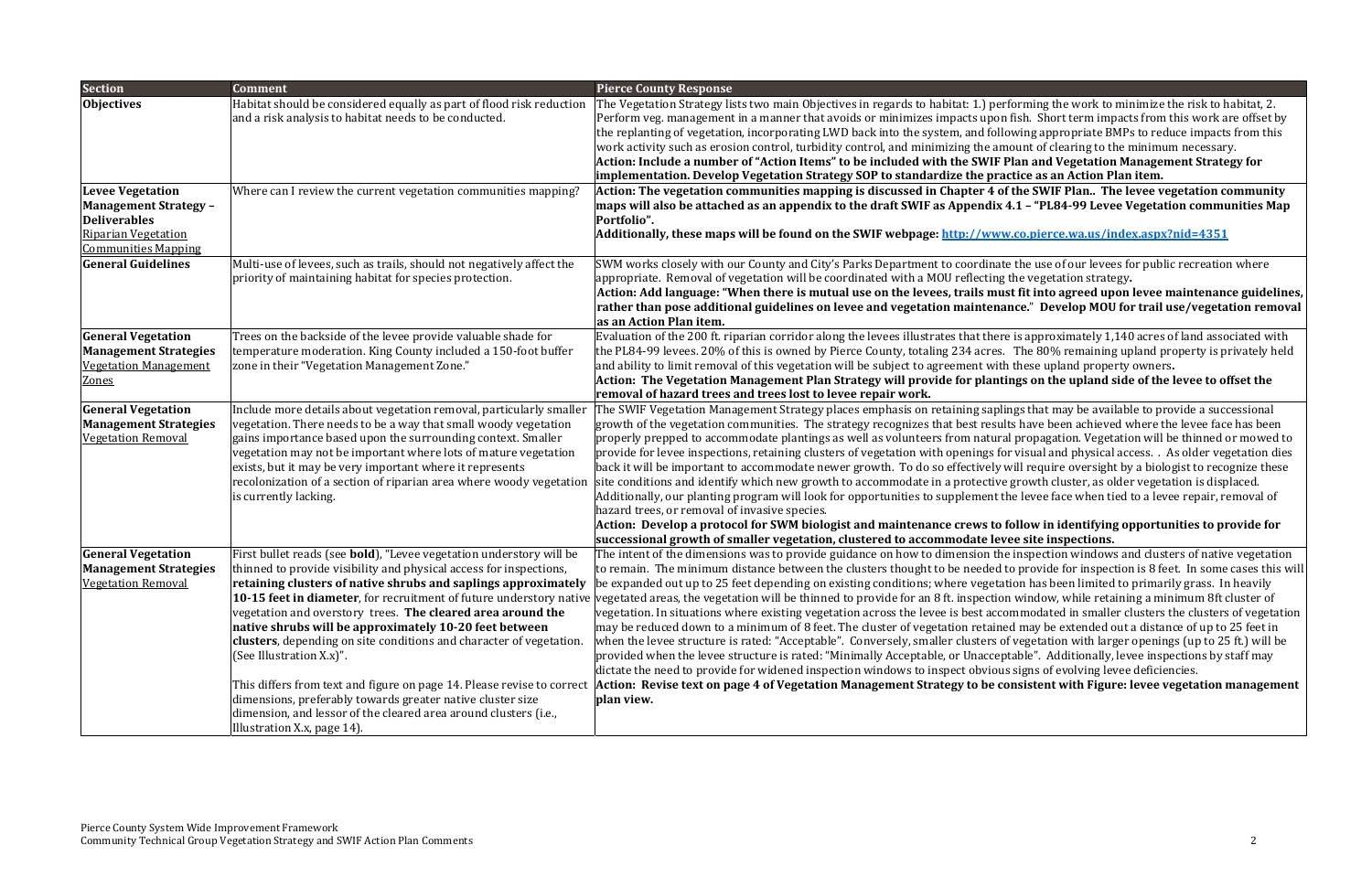**Items" to be included with the SWIF Plan and Vegetation Management Strategy for independent <b>in E s s an Action Plan item.** 

the SWIF Plan.. The levee vegetation community 4.1 - "PL84-99 Levee Vegetation communities Map

st fit into agreed upon levee maintenance guidelines, **pose additional guidelines on levee and vegetation maintenance.**" **Develop MOU for trail use/vegetation removal**

 $e$  is approximately 1,140 acres of land associated with The 80% remaining upland property is privately held these upland property owners.

ings on the upland side of the levee to offset the

ings that may be available to provide a successional Its have been achieved where the levee face has been al propagation. Vegetation will be thinned or mowed to or visual and physical access. . As older vegetation dies will require oversight by a biologist to recognize these growth cluster, as older vegetation is displaced.  $\overline{\text{h}}$ e levee face when tied to a levee repair, removal of

**Additionally, these maps will be found on the SWIF webpage: http://www.co.pierce.wa.us/index.aspx?nid=4351**

e the use of our levees for public recreation where the vegetation strategy.

#### follow in identifying opportunities to provide for **growth of smaller vegetation, clustered to accommodate levee site inspections.**

e inspection windows and clusters of native vegetation to provide for inspection is  $8$  feet. In some cases this will tion has been limited to primarily grass. In heavily n window, while retaining a minimum 8ft cluster of ommodated in smaller clusters the clusters of vegetation ed may be extended out a distance of up to 25 feet in f vegetation with larger openings (up to 25 ft.) will be otable". Additionally, levee inspections by staff may s signs of evolving levee deficiencies.

| <b>Section</b>                                                                                                                             | <b>Comment</b>                                                                                                                                                                                                                                                                                                                                                                                                                                                                                                                                                                                                                                                                                      | <b>Pierce County Response</b>                                                                                                                                                                                                                                                                                                                                                                                                                                                                                                                                                                                                                                                                                                                                                                                                                                                                                                        |
|--------------------------------------------------------------------------------------------------------------------------------------------|-----------------------------------------------------------------------------------------------------------------------------------------------------------------------------------------------------------------------------------------------------------------------------------------------------------------------------------------------------------------------------------------------------------------------------------------------------------------------------------------------------------------------------------------------------------------------------------------------------------------------------------------------------------------------------------------------------|--------------------------------------------------------------------------------------------------------------------------------------------------------------------------------------------------------------------------------------------------------------------------------------------------------------------------------------------------------------------------------------------------------------------------------------------------------------------------------------------------------------------------------------------------------------------------------------------------------------------------------------------------------------------------------------------------------------------------------------------------------------------------------------------------------------------------------------------------------------------------------------------------------------------------------------|
| <b>Objectives</b>                                                                                                                          | Habitat should be considered equally as part of flood risk reduction<br>and a risk analysis to habitat needs to be conducted.                                                                                                                                                                                                                                                                                                                                                                                                                                                                                                                                                                       | The Vegetation Strategy lists two main Objectives in regards to habitat: 1.) per<br>Perform veg. management in a manner that avoids or minimizes impacts upon<br>the replanting of vegetation, incorporating LWD back into the system, and follo<br>work activity such as erosion control, turbidity control, and minimizing the am<br>Action: Include a number of "Action Items" to be included with the SWIF F<br>implementation. Develop Vegetation Strategy SOP to standardize the pra                                                                                                                                                                                                                                                                                                                                                                                                                                           |
| <b>Levee Vegetation</b><br><b>Management Strategy -</b><br><b>Deliverables</b><br><b>Riparian Vegetation</b><br><b>Communities Mapping</b> | Where can I review the current vegetation communities mapping?                                                                                                                                                                                                                                                                                                                                                                                                                                                                                                                                                                                                                                      | Action: The vegetation communities mapping is discussed in Chapter 4 of<br>maps will also be attached as an appendix to the draft SWIF as Appendix $\ell$<br>Portfolio".<br>Additionally, these maps will be found on the SWIF webpage: <u>http://www</u>                                                                                                                                                                                                                                                                                                                                                                                                                                                                                                                                                                                                                                                                            |
| <b>General Guidelines</b>                                                                                                                  | Multi-use of levees, such as trails, should not negatively affect the<br>priority of maintaining habitat for species protection.                                                                                                                                                                                                                                                                                                                                                                                                                                                                                                                                                                    | SWM works closely with our County and City's Parks Department to coordinate<br>appropriate. Removal of vegetation will be coordinated with a MOU reflecting<br>Action: Add language: "When there is mutual use on the levees, trails must<br>rather than pose additional guidelines on levee and vegetation maintena<br>as an Action Plan item.                                                                                                                                                                                                                                                                                                                                                                                                                                                                                                                                                                                      |
| <b>General Vegetation</b><br><b>Management Strategies</b><br><b>Vegetation Management</b><br>Zones                                         | Trees on the backside of the levee provide valuable shade for<br>temperature moderation. King County included a 150-foot buffer<br>zone in their "Vegetation Management Zone."                                                                                                                                                                                                                                                                                                                                                                                                                                                                                                                      | Evaluation of the 200 ft. riparian corridor along the levees illustrates that there<br>the PL84-99 levees. 20% of this is owned by Pierce County, totaling 234 acres.<br>and ability to limit removal of this vegetation will be subject to agreement with<br>Action: The Vegetation Management Plan Strategy will provide for planti<br>removal of hazard trees and trees lost to levee repair work.                                                                                                                                                                                                                                                                                                                                                                                                                                                                                                                                |
| <b>General Vegetation</b><br><b>Management Strategies</b><br><b>Vegetation Removal</b>                                                     | Include more details about vegetation removal, particularly smaller<br>vegetation. There needs to be a way that small woody vegetation<br>gains importance based upon the surrounding context. Smaller<br>vegetation may not be important where lots of mature vegetation<br>exists, but it may be very important where it represents<br>recolonization of a section of riparian area where woody vegetation<br>is currently lacking.                                                                                                                                                                                                                                                               | The SWIF Vegetation Management Strategy places emphasis on retaining sapli<br>growth of the vegetation communities. The strategy recognizes that best resul<br>properly prepped to accommodate plantings as well as volunteers from natura<br>provide for levee inspections, retaining clusters of vegetation with openings fo<br>back it will be important to accommodate newer growth. To do so effectively v<br>site conditions and identify which new growth to accommodate in a protective<br>Additionally, our planting program will look for opportunities to supplement tl<br>hazard trees, or removal of invasive species.<br>Action: Develop a protocol for SWM biologist and maintenance crews to f<br>successional growth of smaller vegetation, clustered to accommodate lev                                                                                                                                            |
| <b>General Vegetation</b><br><b>Management Strategies</b><br> Vegetation Removal                                                           | First bullet reads (see <b>bold</b> ), "Levee vegetation understory will be<br>thinned to provide visibility and physical access for inspections,<br> retaining clusters of native shrubs and saplings approximately<br>vegetation and overstory trees. The cleared area around the<br>native shrubs will be approximately 10-20 feet between<br><b>clusters</b> , depending on site conditions and character of vegetation.<br>(See Illustration X.x)".<br>This differs from text and figure on page 14. Please revise to correct<br>dimensions, preferably towards greater native cluster size<br>dimension, and lessor of the cleared area around clusters (i.e.,<br>Illustration X.x, page 14). | The intent of the dimensions was to provide guidance on how to dimension the<br>to remain. The minimum distance between the clusters thought to be needed t<br>be expanded out up to 25 feet depending on existing conditions; where vegetat<br><b>10-15 feet in diameter</b> , for recruitment of future understory native vegetated areas, the vegetation will be thinned to provide for an 8 ft. inspection<br>vegetation. In situations where existing vegetation across the levee is best acco<br>may be reduced down to a minimum of 8 feet. The cluster of vegetation retaine<br>when the levee structure is rated: "Acceptable". Conversely, smaller clusters of<br>provided when the levee structure is rated: "Minimally Acceptable, or Unaccep<br>dictate the need to provide for widened inspection windows to inspect obvious<br>Action: Revise text on page 4 of Vegetation Management Strategy to be co<br>plan view. |

forming the work to minimize the risk to habitat, 2. I fish. Short term impacts from this work are offset by owing appropriate BMPs to reduce impacts from this nount of clearing to the minimum necessary.

**page 4 of Vegetation Management Strategy to be consistent with Figure: levee vegetation management**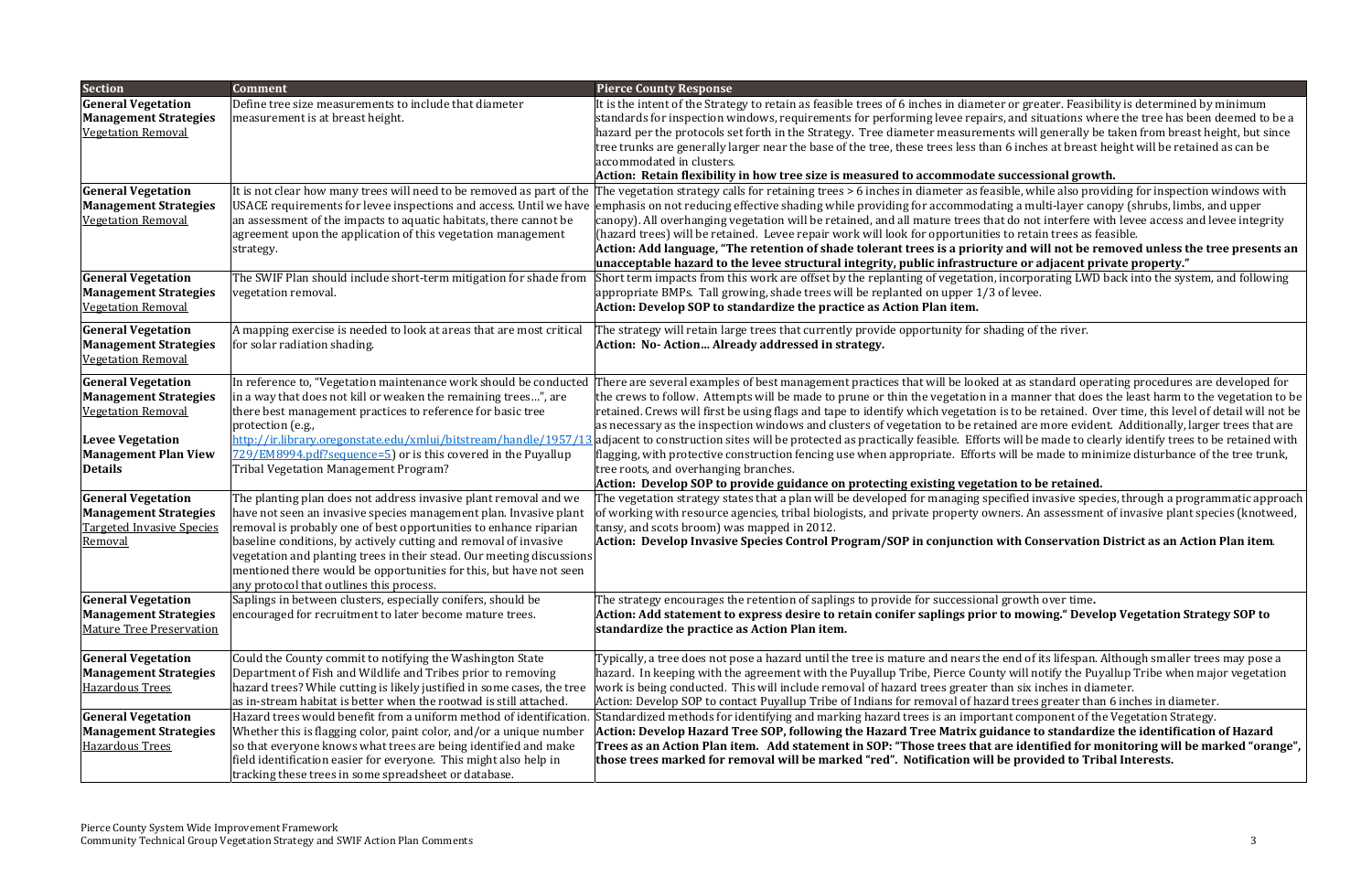#### **flexibility in how tree size is measured to accommodate successional growth.**

ble, while also providing for inspection windows with  $\log a$  multi-layer canopy (shrubs, limbs, and upper do not interfere with levee access and levee integrity to retain trees as feasible.

and will not be removed unless the tree presents an **unacceptable hazard to the levee structural integrity, public infrastructure or adjacent private property."**

 $\frac{1}{\pi}$  acorporating LWD back into the system, and following

ding of the river.

at as standard operating procedures are developed for manner that does the least harm to the vegetation to be to be retained. Over time, this level of detail will not be ed are more evident. Additionally, larger trees that are will be made to clearly identify trees to be retained with vill be made to minimize disturbance of the tree trunk,

#### **Dep to be retained.**

 $\left\vert \cdot\right\vert$ ified invasive species, through a programmatic approach  $\left\vert \cdot\right\vert$ ers. An assessment of invasive plant species (knotweed,

It component of the Vegetation Strategy. ance to standardize the identification of Hazard e identified for monitoring will be marked "orange", **will be provided to Tribal Interests.**

| <b>Section</b>                                                                                                                                                     | <b>Comment</b>                                                                                                                                                                                                                                                                                                                                                                                                                                                            | <b>Pierce County Response</b>                                                                                                                                                                                                                                                                                                                                                                                                                                                                                                                                                                                                                                                  |
|--------------------------------------------------------------------------------------------------------------------------------------------------------------------|---------------------------------------------------------------------------------------------------------------------------------------------------------------------------------------------------------------------------------------------------------------------------------------------------------------------------------------------------------------------------------------------------------------------------------------------------------------------------|--------------------------------------------------------------------------------------------------------------------------------------------------------------------------------------------------------------------------------------------------------------------------------------------------------------------------------------------------------------------------------------------------------------------------------------------------------------------------------------------------------------------------------------------------------------------------------------------------------------------------------------------------------------------------------|
| <b>General Vegetation</b><br><b>Management Strategies</b><br><b>Vegetation Removal</b>                                                                             | Define tree size measurements to include that diameter<br>measurement is at breast height.                                                                                                                                                                                                                                                                                                                                                                                | It is the intent of the Strategy to retain as feasible trees of 6 inches in diameter or greate<br>standards for inspection windows, requirements for performing levee repairs, and situa<br>hazard per the protocols set forth in the Strategy. Tree diameter measurements will ge<br>tree trunks are generally larger near the base of the tree, these trees less than 6 inches<br>accommodated in clusters.<br>Action: Retain flexibility in how tree size is measured to accommodate successio                                                                                                                                                                              |
| <b>General Vegetation</b><br><b>Management Strategies</b><br><b>Vegetation Removal</b>                                                                             | It is not clear how many trees will need to be removed as part of the<br>USACE requirements for levee inspections and access. Until we have<br>an assessment of the impacts to aquatic habitats, there cannot be<br>agreement upon the application of this vegetation management<br>strategy.                                                                                                                                                                             | The vegetation strategy calls for retaining trees > 6 inches in diameter as feasible, while<br>emphasis on not reducing effective shading while providing for accommodating a multi<br>canopy). All overhanging vegetation will be retained, and all mature trees that do not in<br>(hazard trees) will be retained. Levee repair work will look for opportunities to retain<br>Action: Add language, "The retention of shade tolerant trees is a priority and will<br>unacceptable hazard to the levee structural integrity, public infrastructure or adj                                                                                                                     |
| <b>General Vegetation</b><br><b>Management Strategies</b><br><b>Vegetation Removal</b>                                                                             | The SWIF Plan should include short-term mitigation for shade from<br>vegetation removal.                                                                                                                                                                                                                                                                                                                                                                                  | Short term impacts from this work are offset by the replanting of vegetation, incorpora<br>appropriate BMPs. Tall growing, shade trees will be replanted on upper 1/3 of levee.<br>Action: Develop SOP to standardize the practice as Action Plan item.                                                                                                                                                                                                                                                                                                                                                                                                                        |
| <b>General Vegetation</b><br><b>Management Strategies</b><br><b>Vegetation Removal</b>                                                                             | A mapping exercise is needed to look at areas that are most critical<br>for solar radiation shading.                                                                                                                                                                                                                                                                                                                                                                      | The strategy will retain large trees that currently provide opportunity for shading of th<br>Action: No-Action Already addressed in strategy.                                                                                                                                                                                                                                                                                                                                                                                                                                                                                                                                  |
| <b>General Vegetation</b><br><b>Management Strategies</b><br><b>Vegetation Removal</b><br><b>Levee Vegetation</b><br><b>Management Plan View</b><br><b>Details</b> | In reference to, "Vegetation maintenance work should be conducted<br>in a way that does not kill or weaken the remaining trees", are<br>there best management practices to reference for basic tree<br>protection (e.g.,<br>729/EM8994.pdf?sequence=5) or is this covered in the Puyallup<br>Tribal Vegetation Management Program?                                                                                                                                        | There are several examples of best management practices that will be looked at as stan<br>the crews to follow. Attempts will be made to prune or thin the vegetation in a manner<br>retained. Crews will first be using flags and tape to identify which vegetation is to be re<br>as necessary as the inspection windows and clusters of vegetation to be retained are mo<br>http://ir.library.oregonstate.edu/xmlui/bitstream/handle/1957/13 adjacent to construction sites will be protected as practically feasible. Efforts will be m<br>flagging, with protective construction fencing use when appropriate. Efforts will be ma<br>tree roots, and overhanging branches. |
| <b>General Vegetation</b><br><b>Management Strategies</b><br><b>Targeted Invasive Species</b><br>Removal                                                           | The planting plan does not address invasive plant removal and we<br>have not seen an invasive species management plan. Invasive plant<br>removal is probably one of best opportunities to enhance riparian<br>baseline conditions, by actively cutting and removal of invasive<br>vegetation and planting trees in their stead. Our meeting discussions<br>mentioned there would be opportunities for this, but have not seen<br>any protocol that outlines this process. | Action: Develop SOP to provide guidance on protecting existing vegetation to be :<br>The vegetation strategy states that a plan will be developed for managing specified inva<br>of working with resource agencies, tribal biologists, and private property owners. An as<br>tansy, and scots broom) was mapped in 2012.<br>Action: Develop Invasive Species Control Program/SOP in conjunction with Cons                                                                                                                                                                                                                                                                      |
| <b>General Vegetation</b><br><b>Management Strategies</b><br><b>Mature Tree Preservation</b>                                                                       | Saplings in between clusters, especially conifers, should be<br>encouraged for recruitment to later become mature trees.                                                                                                                                                                                                                                                                                                                                                  | The strategy encourages the retention of saplings to provide for successional growth ov<br>Action: Add statement to express desire to retain conifer saplings prior to mowin<br>standardize the practice as Action Plan item.                                                                                                                                                                                                                                                                                                                                                                                                                                                  |
| <b>General Vegetation</b><br><b>Management Strategies</b><br><b>Hazardous Trees</b>                                                                                | Could the County commit to notifying the Washington State<br>Department of Fish and Wildlife and Tribes prior to removing<br>hazard trees? While cutting is likely justified in some cases, the tree<br>as in-stream habitat is better when the rootwad is still attached.                                                                                                                                                                                                | Typically, a tree does not pose a hazard until the tree is mature and nears the end of its<br>hazard. In keeping with the agreement with the Puyallup Tribe, Pierce County will noti<br>work is being conducted. This will include removal of hazard trees greater than six incl<br>Action: Develop SOP to contact Puyallup Tribe of Indians for removal of hazard trees gr                                                                                                                                                                                                                                                                                                    |
| <b>General Vegetation</b><br><b>Management Strategies</b><br><b>Hazardous Trees</b>                                                                                | Hazard trees would benefit from a uniform method of identification.<br>Whether this is flagging color, paint color, and/or a unique number<br>so that everyone knows what trees are being identified and make<br>field identification easier for everyone. This might also help in<br>tracking these trees in some spreadsheet or database.                                                                                                                               | Standardized methods for identifying and marking hazard trees is an important compo<br>Action: Develop Hazard Tree SOP, following the Hazard Tree Matrix guidance to s<br>Trees as an Action Plan item. Add statement in SOP: "Those trees that are identif<br>those trees marked for removal will be marked "red". Notification will be provid                                                                                                                                                                                                                                                                                                                                |

or greater. Feasibility is determined by minimum and situations where the tree has been deemed to be a ts will generally be taken from breast height, but since 6 inches at breast height will be retained as can be

#### **Develop Invasive Species Control Program/SOP in conjunction with Conservation District as an Action Plan item**.

The strategy encourages the retention of saplings to provide for successional growth over time**. statement to express desire to retain conifer saplings prior to mowing." Develop Vegetation Strategy SOP to**

and of its lifespan. Although smaller trees may pose a will notify the Puyallup Tribe when major vegetation  $\mathbf{u}$ n six inches in diameter.

I trees greater than  $6$  inches in diameter.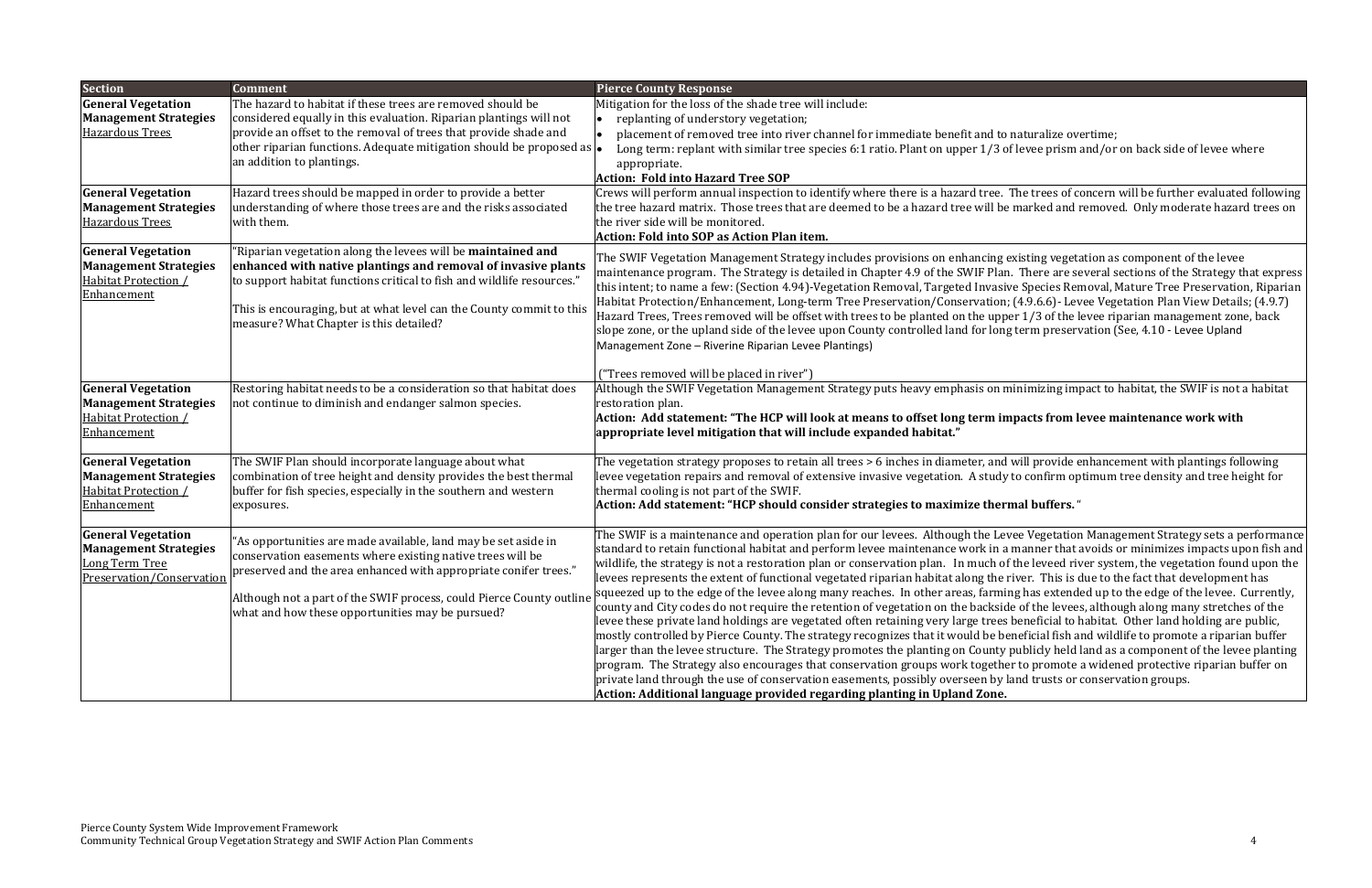| <b>Section</b>                                                                                           | <b>Comment</b>                                                                                                                                                                                                                                                                                                                    | <b>Pierce County Response</b>                                                                                                                                                                                                                                                                                                                                                                                                                                                                                                                                                                                                                                                                                                                                                                                                                                                                                                                                                                                     |
|----------------------------------------------------------------------------------------------------------|-----------------------------------------------------------------------------------------------------------------------------------------------------------------------------------------------------------------------------------------------------------------------------------------------------------------------------------|-------------------------------------------------------------------------------------------------------------------------------------------------------------------------------------------------------------------------------------------------------------------------------------------------------------------------------------------------------------------------------------------------------------------------------------------------------------------------------------------------------------------------------------------------------------------------------------------------------------------------------------------------------------------------------------------------------------------------------------------------------------------------------------------------------------------------------------------------------------------------------------------------------------------------------------------------------------------------------------------------------------------|
| <b>General Vegetation</b><br><b>Management Strategies</b><br><b>Hazardous Trees</b>                      | The hazard to habitat if these trees are removed should be<br>considered equally in this evaluation. Riparian plantings will not<br>provide an offset to the removal of trees that provide shade and<br>other riparian functions. Adequate mitigation should be proposed as $\left  \bullet \right $<br>an addition to plantings. | Mitigation for the loss of the shade tree will include:<br>replanting of understory vegetation;<br>placement of removed tree into river channel for immediate benefit and to<br>Long term: replant with similar tree species 6:1 ratio. Plant on upper 1/3 of<br>appropriate.<br><b>Action: Fold into Hazard Tree SOP</b>                                                                                                                                                                                                                                                                                                                                                                                                                                                                                                                                                                                                                                                                                         |
| <b>General Vegetation</b><br><b>Management Strategies</b><br><b>Hazardous Trees</b>                      | Hazard trees should be mapped in order to provide a better<br>understanding of where those trees are and the risks associated<br>with them.                                                                                                                                                                                       | Crews will perform annual inspection to identify where there is a hazard tree.<br>the tree hazard matrix. Those trees that are deemed to be a hazard tree will be<br>the river side will be monitored.<br><b>Action: Fold into SOP as Action Plan item.</b>                                                                                                                                                                                                                                                                                                                                                                                                                                                                                                                                                                                                                                                                                                                                                       |
| <b>General Vegetation</b><br><b>Management Strategies</b><br><b>Habitat Protection /</b><br>Enhancement  | 'Riparian vegetation along the levees will be maintained and<br>enhanced with native plantings and removal of invasive plants<br>to support habitat functions critical to fish and wildlife resources."<br>This is encouraging, but at what level can the County commit to this<br>measure? What Chapter is this detailed?        | The SWIF Vegetation Management Strategy includes provisions on enhancing o<br>maintenance program. The Strategy is detailed in Chapter 4.9 of the SWIF Plar<br>this intent; to name a few: (Section 4.94)-Vegetation Removal, Targeted Invasi<br>Habitat Protection/Enhancement, Long-term Tree Preservation/Conservation<br>Hazard Trees, Trees removed will be offset with trees to be planted on the upp<br>slope zone, or the upland side of the levee upon County controlled land for long<br>Management Zone - Riverine Riparian Levee Plantings)<br>("Trees removed will be placed in river")                                                                                                                                                                                                                                                                                                                                                                                                              |
| <b>General Vegetation</b><br><b>Management Strategies</b><br><b>Habitat Protection /</b><br>Enhancement  | Restoring habitat needs to be a consideration so that habitat does<br>not continue to diminish and endanger salmon species.                                                                                                                                                                                                       | Although the SWIF Vegetation Management Strategy puts heavy emphasis on n<br>restoration plan.<br>Action: Add statement: "The HCP will look at means to offset long term in<br>appropriate level mitigation that will include expanded habitat."                                                                                                                                                                                                                                                                                                                                                                                                                                                                                                                                                                                                                                                                                                                                                                  |
| <b>General Vegetation</b><br><b>Management Strategies</b><br>Habitat Protection /<br>Enhancement         | The SWIF Plan should incorporate language about what<br>combination of tree height and density provides the best thermal<br>buffer for fish species, especially in the southern and western<br>exposures.                                                                                                                         | The vegetation strategy proposes to retain all trees > 6 inches in diameter, and<br>levee vegetation repairs and removal of extensive invasive vegetation. A study<br>thermal cooling is not part of the SWIF.<br>Action: Add statement: "HCP should consider strategies to maximize ther                                                                                                                                                                                                                                                                                                                                                                                                                                                                                                                                                                                                                                                                                                                         |
| <b>General Vegetation</b><br><b>Management Strategies</b><br>Long Term Tree<br>Preservation/Conservation | 'As opportunities are made available, land may be set aside in<br>conservation easements where existing native trees will be<br>preserved and the area enhanced with appropriate conifer trees."<br>Although not a part of the SWIF process, could Pierce County outline<br>what and how these opportunities may be pursued?      | The SWIF is a maintenance and operation plan for our levees. Although the Lev<br>standard to retain functional habitat and perform levee maintenance work in a<br>wildlife, the strategy is not a restoration plan or conservation plan. In much of<br>levees represents the extent of functional vegetated riparian habitat along the i<br>squeezed up to the edge of the levee along many reaches. In other areas, farmi<br>county and City codes do not require the retention of vegetation on the backsic<br>levee these private land holdings are vegetated often retaining very large trees<br>mostly controlled by Pierce County. The strategy recognizes that it would be be<br>larger than the levee structure. The Strategy promotes the planting on County<br>program. The Strategy also encourages that conservation groups work togethe<br>private land through the use of conservation easements, possibly overseen by l<br>Action: Additional language provided regarding planting in Upland Zone. |

### phaturalize overtime: of levee prism and/or on back side of levee where

The trees of concern will be further evaluated following marked and removed. Only moderate hazard trees on

existing vegetation as component of the levee n. There are several sections of the Strategy that express ive Species Removal, Mature Tree Preservation, Riparian ;  $(4.9.6.6)$ - Levee Vegetation Plan View Details;  $(4.9.7)$  $\pi$  1/3 of the levee riparian management zone, back g term preservation (See, 4.10 - Levee Upland

minimizing impact to habitat, the SWIF is not a habitat

#### **will look at means to offset long term impacts from levee maintenance work with**

will provide enhancement with plantings following to confirm optimum tree density and tree height for

#### **fould considers considers considers constraining the strategies the strategies constraining the strategies**

 $\alpha$  Vegetation Management Strategy sets a performance manner that avoids or minimizes impacts upon fish and If the leveed river system, the vegetation found upon the river. This is due to the fact that development has ing has extended up to the edge of the levee. Currently, de of the levees, although along many stretches of the beneficial to habitat. Other land holding are public, eneficial fish and wildlife to promote a riparian buffer If publicly held land as a component of the levee planting er to promote a widened protective riparian buffer on land trusts or conservation groups.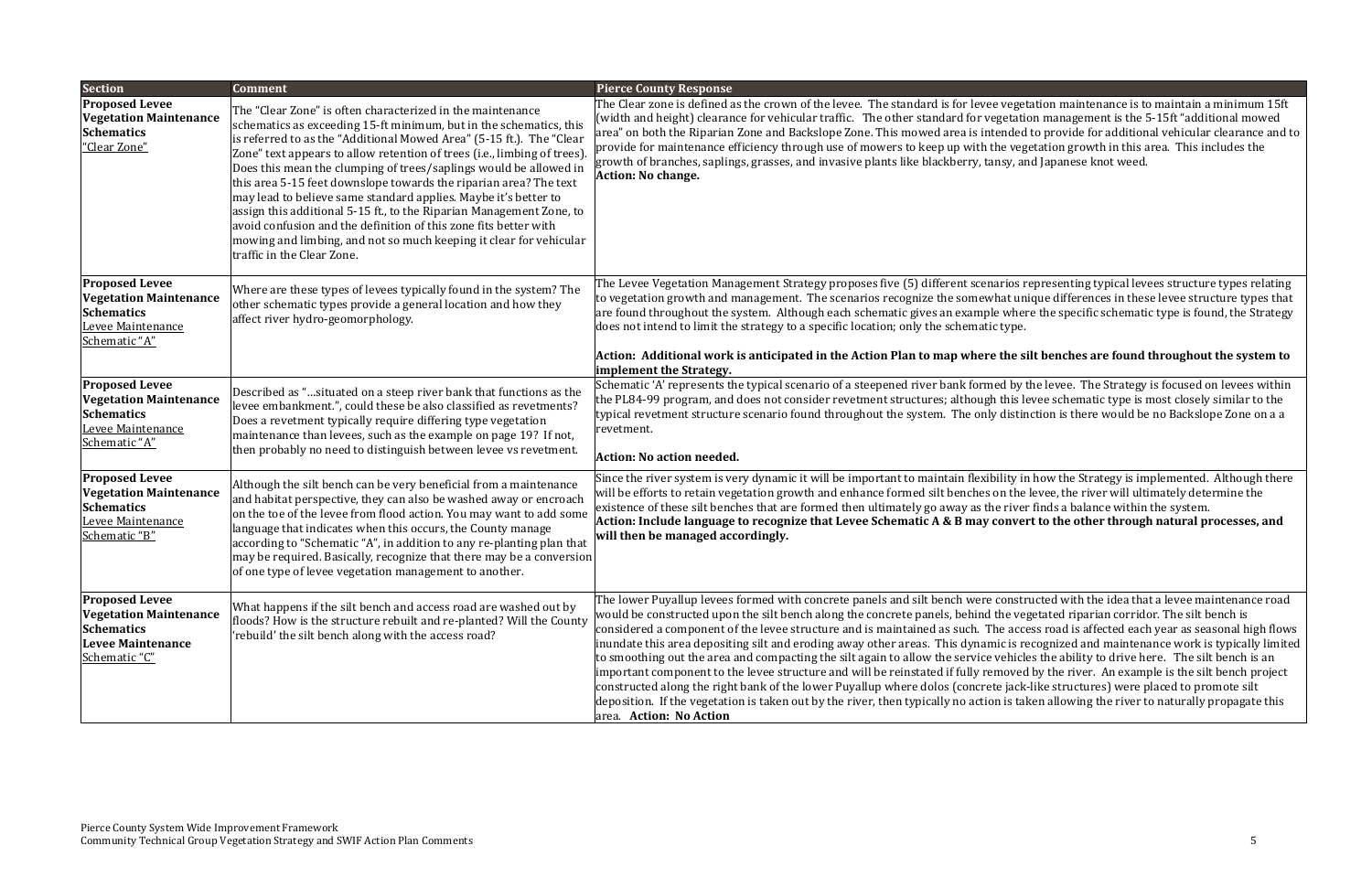#### **is anticipated in the Action Plan to map where the silt benches are found throughout the system to**

by the levee. The Strategy is focused on levees within his levee schematic type is most closely similar to the istinction is there would be no Backslope Zone on a a

ty in how the Strategy is implemented. Although there the levee, the river will ultimately determine the iver finds a balance within the system. ivert to the other through natural processes, and

 $R$  is tructed with the idea that a levee maintenance road wegetated riparian corridor. The silt bench is access road is affected each year as seasonal high flows is recognized and maintenance work is typically limited hicles the ability to drive here. The silt bench is an wed by the river. An example is the silt bench project  $i$ ack-like structures) were placed to promote silt is taken allowing the river to naturally propagate this

| <b>Section</b>                                                                                                           | <b>Comment</b>                                                                                                                                                                                                                                                                                                                                                                                                                                                                                                                                                                                                                                                                                                                                    | <b>Pierce County Response</b>                                                                                                                                                                                                                                                                                                                                                                                                                                                                                                                                                                                                                                                                                                                         |
|--------------------------------------------------------------------------------------------------------------------------|---------------------------------------------------------------------------------------------------------------------------------------------------------------------------------------------------------------------------------------------------------------------------------------------------------------------------------------------------------------------------------------------------------------------------------------------------------------------------------------------------------------------------------------------------------------------------------------------------------------------------------------------------------------------------------------------------------------------------------------------------|-------------------------------------------------------------------------------------------------------------------------------------------------------------------------------------------------------------------------------------------------------------------------------------------------------------------------------------------------------------------------------------------------------------------------------------------------------------------------------------------------------------------------------------------------------------------------------------------------------------------------------------------------------------------------------------------------------------------------------------------------------|
| <b>Proposed Levee</b><br><b>Vegetation Maintenance</b><br><b>Schematics</b><br>"Clear Zone"                              | The "Clear Zone" is often characterized in the maintenance<br>schematics as exceeding 15-ft minimum, but in the schematics, this<br>is referred to as the "Additional Mowed Area" (5-15 ft.). The "Clear<br>Zone" text appears to allow retention of trees (i.e., limbing of trees).<br>Does this mean the clumping of trees/saplings would be allowed in<br>this area 5-15 feet downslope towards the riparian area? The text<br>may lead to believe same standard applies. Maybe it's better to<br>assign this additional 5-15 ft., to the Riparian Management Zone, to<br>avoid confusion and the definition of this zone fits better with<br>mowing and limbing, and not so much keeping it clear for vehicular<br>traffic in the Clear Zone. | The Clear zone is defined as the crown of the levee. The standard is for levee vegeta<br>width and height) clearance for vehicular traffic. The other standard for vegetatio<br>area" on both the Riparian Zone and Backslope Zone. This mowed area is intended t<br>provide for maintenance efficiency through use of mowers to keep up with the vege<br>growth of branches, saplings, grasses, and invasive plants like blackberry, tansy, and<br><b>Action: No change.</b>                                                                                                                                                                                                                                                                         |
| <b>Proposed Levee</b><br><b>Vegetation Maintenance</b><br><b>Schematics</b><br>Levee Maintenance<br>Schematic "A"        | Where are these types of levees typically found in the system? The<br>other schematic types provide a general location and how they<br>affect river hydro-geomorphology.                                                                                                                                                                                                                                                                                                                                                                                                                                                                                                                                                                          | The Levee Vegetation Management Strategy proposes five (5) different scenarios re<br>to vegetation growth and management. The scenarios recognize the somewhat union-<br>are found throughout the system. Although each schematic gives an example where<br>does not intend to limit the strategy to a specific location; only the schematic type.<br>Action: Additional work is anticipated in the Action Plan to map where the sil<br>implement the Strategy.                                                                                                                                                                                                                                                                                       |
| <b>Proposed Levee</b><br><b>Vegetation Maintenance</b><br><b>Schematics</b><br>Levee Maintenance<br>Schematic "A"        | Described as "situated on a steep river bank that functions as the<br>levee embankment.", could these be also classified as revetments?<br>Does a revetment typically require differing type vegetation<br>maintenance than levees, such as the example on page 19? If not,<br>then probably no need to distinguish between levee vs revetment.                                                                                                                                                                                                                                                                                                                                                                                                   | Schematic 'A' represents the typical scenario of a steepened river bank formed by th<br>the PL84-99 program, and does not consider revetment structures; although this let<br>typical revetment structure scenario found throughout the system. The only distine<br>revetment.<br><b>Action: No action needed.</b>                                                                                                                                                                                                                                                                                                                                                                                                                                    |
| <b>Proposed Levee</b><br><b>Vegetation Maintenance</b><br><b>Schematics</b><br>Levee Maintenance<br>Schematic "B"        | Although the silt bench can be very beneficial from a maintenance<br>and habitat perspective, they can also be washed away or encroach<br>on the toe of the levee from flood action. You may want to add some<br>language that indicates when this occurs, the County manage<br>according to "Schematic "A", in addition to any re-planting plan that<br>may be required. Basically, recognize that there may be a conversion<br>of one type of levee vegetation management to another.                                                                                                                                                                                                                                                           | Since the river system is very dynamic it will be important to maintain flexibility in<br>will be efforts to retain vegetation growth and enhance formed silt benches on the lo<br>existence of these silt benches that are formed then ultimately go away as the river<br>Action: Include language to recognize that Levee Schematic A & B may convert<br>will then be managed accordingly.                                                                                                                                                                                                                                                                                                                                                          |
| <b>Proposed Levee</b><br><b>Vegetation Maintenance</b><br><b>Schematics</b><br><b>Levee Maintenance</b><br>Schematic "C" | What happens if the silt bench and access road are washed out by<br>floods? How is the structure rebuilt and re-planted? Will the County<br>'rebuild' the silt bench along with the access road?                                                                                                                                                                                                                                                                                                                                                                                                                                                                                                                                                  | The lower Puyallup levees formed with concrete panels and silt bench were constru<br>would be constructed upon the silt bench along the concrete panels, behind the veg<br>considered a component of the levee structure and is maintained as such. The acces<br>inundate this area depositing silt and eroding away other areas. This dynamic is reo<br>to smoothing out the area and compacting the silt again to allow the service vehicles<br>important component to the levee structure and will be reinstated if fully removed l<br>constructed along the right bank of the lower Puyallup where dolos (concrete jack-l<br>deposition. If the vegetation is taken out by the river, then typically no action is take<br>area. Action: No Action |

egetation maintenance is to maintain a minimum 15ft tation management is the 5-15ft "additional mowed ded to provide for additional vehicular clearance and to vegetation growth in this area. This includes the y, and Japanese knot weed.

ios representing typical levees structure types relating t unique differences in these levee structure types that where the specific schematic type is found, the Strategy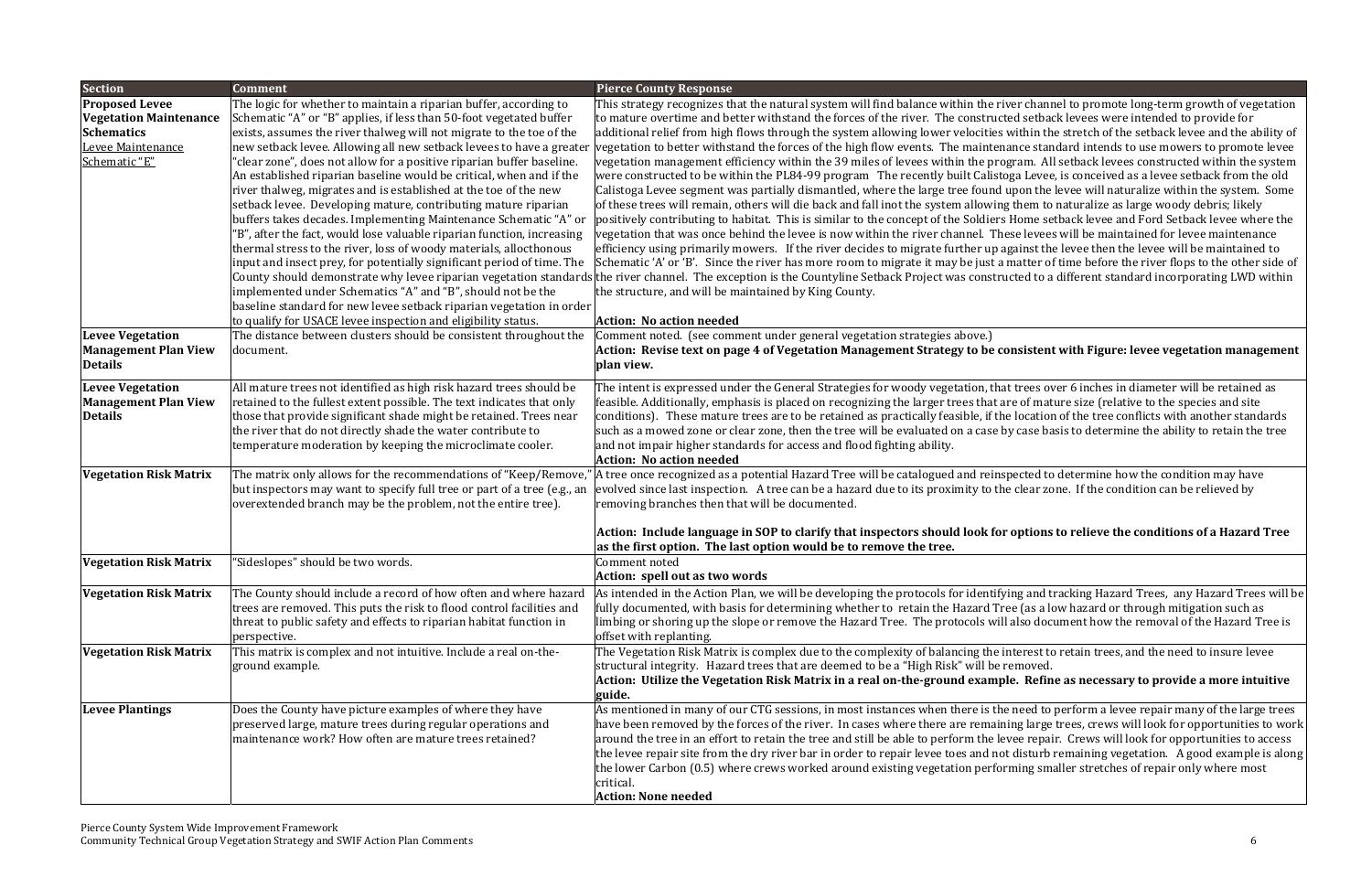#### **page 4 of Vegetation Management Strategy to be consistent with Figure: levee vegetation management**

t trees over 6 inches in diameter will be retained as re of mature size (relative to the species and site e location of the tree conflicts with another standards y case basis to determine the ability to retain the tree

pected to determine how the condition may have e clear zone. If the condition can be relieved by

# options to relieve the conditions of a Hazard Tree

ing and tracking Hazard Trees,  $\,$ any Hazard Trees will be $\,$ ee (as a low hazard or through mitigation such as also document how the removal of the Hazard Tree is

nterest to retain trees, and the need to insure levee

### le. Refine as necessary to provide a more intuitive

need to perform a levee repair many of the large trees ing large trees, crews will look for opportunities to work $\vert$ vee repair. Crews will look for opportunities to access I disturb remaining vegetation. A good example is along ming smaller stretches of repair only where most

|                                                                                                                                     | <b>Comment</b>                                                                                                                                                                                                                                                                                                                                                                                                                                                                                                                                                                                                                                                                                                                                                                                                                                                                                                                                                                                                      |                                                                                                                                                                                                                                                                                                                                                                                                                                                                                                                                                                                                                                                                                                                                                                                                                                                                                                                                                                                                                                                                                                                                                                                                                                                                                                                                                                                                      |
|-------------------------------------------------------------------------------------------------------------------------------------|---------------------------------------------------------------------------------------------------------------------------------------------------------------------------------------------------------------------------------------------------------------------------------------------------------------------------------------------------------------------------------------------------------------------------------------------------------------------------------------------------------------------------------------------------------------------------------------------------------------------------------------------------------------------------------------------------------------------------------------------------------------------------------------------------------------------------------------------------------------------------------------------------------------------------------------------------------------------------------------------------------------------|------------------------------------------------------------------------------------------------------------------------------------------------------------------------------------------------------------------------------------------------------------------------------------------------------------------------------------------------------------------------------------------------------------------------------------------------------------------------------------------------------------------------------------------------------------------------------------------------------------------------------------------------------------------------------------------------------------------------------------------------------------------------------------------------------------------------------------------------------------------------------------------------------------------------------------------------------------------------------------------------------------------------------------------------------------------------------------------------------------------------------------------------------------------------------------------------------------------------------------------------------------------------------------------------------------------------------------------------------------------------------------------------------|
| <b>Section</b><br><b>Proposed Levee</b><br><b>Vegetation Maintenance</b><br><b>Schematics</b><br>Levee Maintenance<br>Schematic "E" | The logic for whether to maintain a riparian buffer, according to<br>Schematic "A" or "B" applies, if less than 50-foot vegetated buffer<br>exists, assumes the river thalweg will not migrate to the toe of the<br>new setback levee. Allowing all new setback levees to have a greater<br>'clear zone", does not allow for a positive riparian buffer baseline.<br>An established riparian baseline would be critical, when and if the<br>river thalweg, migrates and is established at the toe of the new<br>setback levee. Developing mature, contributing mature riparian<br>buffers takes decades. Implementing Maintenance Schematic "A" or<br>'B", after the fact, would lose valuable riparian function, increasing<br>thermal stress to the river, loss of woody materials, allocthonous<br>input and insect prey, for potentially significant period of time. The<br>implemented under Schematics "A" and "B", should not be the<br>baseline standard for new levee setback riparian vegetation in order | <b>Pierce County Response</b><br>This strategy recognizes that the natural system will find balance within the river chann<br>to mature overtime and better withstand the forces of the river. The constructed setbac<br>additional relief from high flows through the system allowing lower velocities within the<br>vegetation to better withstand the forces of the high flow events. The maintenance stane<br>vegetation management efficiency within the 39 miles of levees within the program. All<br>were constructed to be within the PL84-99 program The recently built Calistoga Levee,<br>Calistoga Levee segment was partially dismantled, where the large tree found upon the l<br>of these trees will remain, others will die back and fall inot the system allowing them to<br>positively contributing to habitat. This is similar to the concept of the Soldiers Home set<br>vegetation that was once behind the levee is now within the river channel. These levees<br>efficiency using primarily mowers. If the river decides to migrate further up against the<br>Schematic 'A' or 'B'. Since the river has more room to migrate it may be just a matter of<br>County should demonstrate why levee riparian vegetation standards the river channel. The exception is the Countyline Setback Project was constructed to a<br>the structure, and will be maintained by King County. |
| <b>Levee Vegetation</b><br><b>Management Plan View</b><br><b>Details</b>                                                            | to qualify for USACE levee inspection and eligibility status.<br>The distance between clusters should be consistent throughout the<br>document.                                                                                                                                                                                                                                                                                                                                                                                                                                                                                                                                                                                                                                                                                                                                                                                                                                                                     | <b>Action: No action needed</b><br>Comment noted. (see comment under general vegetation strategies above.)<br>Action: Revise text on page 4 of Vegetation Management Strategy to be consistent<br>plan view.                                                                                                                                                                                                                                                                                                                                                                                                                                                                                                                                                                                                                                                                                                                                                                                                                                                                                                                                                                                                                                                                                                                                                                                         |
| <b>Levee Vegetation</b><br><b>Management Plan View</b><br><b>Details</b>                                                            | All mature trees not identified as high risk hazard trees should be<br>retained to the fullest extent possible. The text indicates that only<br>those that provide significant shade might be retained. Trees near<br>the river that do not directly shade the water contribute to<br>temperature moderation by keeping the microclimate cooler.                                                                                                                                                                                                                                                                                                                                                                                                                                                                                                                                                                                                                                                                    | The intent is expressed under the General Strategies for woody vegetation, that trees over<br>feasible. Additionally, emphasis is placed on recognizing the larger trees that are of matu<br>conditions). These mature trees are to be retained as practically feasible, if the location<br>such as a mowed zone or clear zone, then the tree will be evaluated on a case by case bas<br>and not impair higher standards for access and flood fighting ability.<br><b>Action: No action needed</b>                                                                                                                                                                                                                                                                                                                                                                                                                                                                                                                                                                                                                                                                                                                                                                                                                                                                                                   |
| <b>Vegetation Risk Matrix</b>                                                                                                       | The matrix only allows for the recommendations of "Keep/Remove,"<br>but inspectors may want to specify full tree or part of a tree (e.g., an<br>overextended branch may be the problem, not the entire tree).                                                                                                                                                                                                                                                                                                                                                                                                                                                                                                                                                                                                                                                                                                                                                                                                       | A tree once recognized as a potential Hazard Tree will be catalogued and reinspected to<br>evolved since last inspection. A tree can be a hazard due to its proximity to the clear zo<br>removing branches then that will be documented.<br>Action: Include language in SOP to clarify that inspectors should look for options                                                                                                                                                                                                                                                                                                                                                                                                                                                                                                                                                                                                                                                                                                                                                                                                                                                                                                                                                                                                                                                                       |
| <b>Vegetation Risk Matrix</b>                                                                                                       | "Sideslopes" should be two words.                                                                                                                                                                                                                                                                                                                                                                                                                                                                                                                                                                                                                                                                                                                                                                                                                                                                                                                                                                                   | as the first option. The last option would be to remove the tree.<br>Comment noted<br>Action: spell out as two words                                                                                                                                                                                                                                                                                                                                                                                                                                                                                                                                                                                                                                                                                                                                                                                                                                                                                                                                                                                                                                                                                                                                                                                                                                                                                 |
| <b>Vegetation Risk Matrix</b>                                                                                                       | The County should include a record of how often and where hazard<br>trees are removed. This puts the risk to flood control facilities and<br>threat to public safety and effects to riparian habitat function in<br>perspective.                                                                                                                                                                                                                                                                                                                                                                                                                                                                                                                                                                                                                                                                                                                                                                                    | As intended in the Action Plan, we will be developing the protocols for identifying and tr<br>fully documented, with basis for determining whether to retain the Hazard Tree (as a lo<br>limbing or shoring up the slope or remove the Hazard Tree. The protocols will also docu<br>offset with replanting.                                                                                                                                                                                                                                                                                                                                                                                                                                                                                                                                                                                                                                                                                                                                                                                                                                                                                                                                                                                                                                                                                          |
| <b>Vegetation Risk Matrix</b>                                                                                                       | This matrix is complex and not intuitive. Include a real on-the-<br>ground example.                                                                                                                                                                                                                                                                                                                                                                                                                                                                                                                                                                                                                                                                                                                                                                                                                                                                                                                                 | The Vegetation Risk Matrix is complex due to the complexity of balancing the interest to<br>structural integrity. Hazard trees that are deemed to be a "High Risk" will be removed.<br>Action: Utilize the Vegetation Risk Matrix in a real on-the-ground example. Refine<br>guide.                                                                                                                                                                                                                                                                                                                                                                                                                                                                                                                                                                                                                                                                                                                                                                                                                                                                                                                                                                                                                                                                                                                  |
| <b>Levee Plantings</b>                                                                                                              | Does the County have picture examples of where they have<br>preserved large, mature trees during regular operations and<br>maintenance work? How often are mature trees retained?                                                                                                                                                                                                                                                                                                                                                                                                                                                                                                                                                                                                                                                                                                                                                                                                                                   | As mentioned in many of our CTG sessions, in most instances when there is the need to p<br>have been removed by the forces of the river. In cases where there are remaining large t<br>around the tree in an effort to retain the tree and still be able to perform the levee repain<br>the levee repair site from the dry river bar in order to repair levee toes and not disturb r<br>the lower Carbon (0.5) where crews worked around existing vegetation performing sma<br>critical.<br><b>Action: None needed</b>                                                                                                                                                                                                                                                                                                                                                                                                                                                                                                                                                                                                                                                                                                                                                                                                                                                                               |

ver channel to promote long-term growth of vegetation ed setback levees were intended to provide for within the stretch of the setback levee and the ability of ance standard intends to use mowers to promote levee gram. All setback levees constructed within the system.  $log$ a Levee, is conceived as a levee setback from the old upon the levee will naturalize within the system. Some  $\alpha$ ; them to naturalize as large woody debris; likely Home setback levee and Ford Setback levee where the ese levees will be maintained for levee maintenance gainst the levee then the levee will be maintained to matter of time before the river flops to the other side of icted to a different standard incorporating LWD within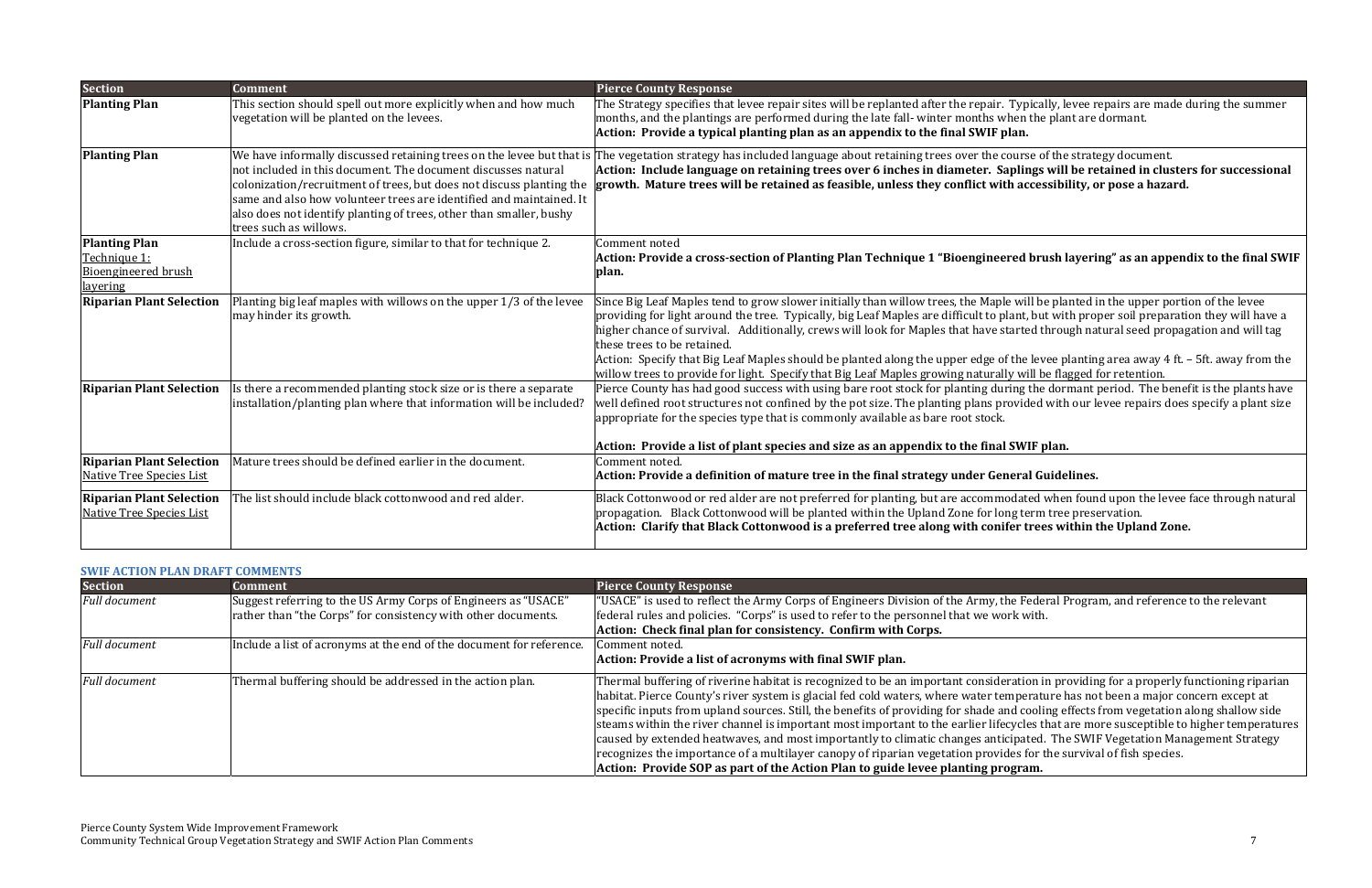# **of Planting Plan Technique 1 "Bioengineered brush layering" as an appendix to the final SWIF**

 $\Xi$  e will be planted in the upper portion of the levee lant, but with proper soil preparation they will have a tarted through natural seed propagation and will tag

f the levee planting area away  $4$  ft. – 5ft. away from the ly will be flagged for retention.

 $\overline{\text{ring}}$  the dormant period. The benefit is the plants have rovided with our levee repairs does specify a plant size

## **i SWIF** plan.

odated when found upon the levee face through natural ng term tree preservation. **Clarify that Black Cottonwood is <sup>a</sup> preferred tree along with conifer trees within the Upland Zone.**

ne Federal Program, and reference to the relevant

ration in providing for a properly functioning riparian nperature has not been a major concern except at and cooling effects from vegetation along shallow side  $\sim$  cycles that are more susceptible to higher temperatures cipated. The SWIF Vegetation Management Strategy les for the survival of fish species.

| <b>Section</b>                                                     | <b>Comment</b>                                                                                                                                                                                                                                                                                                | <b>Pierce County Response</b>                                                                                                                                                                                                                                                                                                                                                                                                                                                      |
|--------------------------------------------------------------------|---------------------------------------------------------------------------------------------------------------------------------------------------------------------------------------------------------------------------------------------------------------------------------------------------------------|------------------------------------------------------------------------------------------------------------------------------------------------------------------------------------------------------------------------------------------------------------------------------------------------------------------------------------------------------------------------------------------------------------------------------------------------------------------------------------|
| <b>Planting Plan</b>                                               | This section should spell out more explicitly when and how much<br>vegetation will be planted on the levees.                                                                                                                                                                                                  | The Strategy specifies that levee repair sites will be replanted after the repair. Typ<br>months, and the plantings are performed during the late fall-winter months when<br>Action: Provide a typical planting plan as an appendix to the final SWIF plan.                                                                                                                                                                                                                        |
| <b>Planting Plan</b>                                               | not included in this document. The document discusses natural<br>colonization/recruitment of trees, but does not discuss planting the<br>same and also how volunteer trees are identified and maintained. It<br>also does not identify planting of trees, other than smaller, bushy<br>trees such as willows. | We have informally discussed retaining trees on the levee but that is The vegetation strategy has included language about retaining trees over the cours<br>Action: Include language on retaining trees over 6 inches in diameter. Saplin<br>growth. Mature trees will be retained as feasible, unless they conflict with ad                                                                                                                                                       |
| <b>Planting Plan</b>                                               | Include a cross-section figure, similar to that for technique 2.                                                                                                                                                                                                                                              | Comment noted                                                                                                                                                                                                                                                                                                                                                                                                                                                                      |
| Technique 1:                                                       |                                                                                                                                                                                                                                                                                                               | Action: Provide a cross-section of Planting Plan Technique 1 "Bioengineered                                                                                                                                                                                                                                                                                                                                                                                                        |
| <b>Bioengineered brush</b><br>layering                             |                                                                                                                                                                                                                                                                                                               | plan.                                                                                                                                                                                                                                                                                                                                                                                                                                                                              |
| <b>Riparian Plant Selection</b>                                    | Planting big leaf maples with willows on the upper 1/3 of the levee<br>may hinder its growth.                                                                                                                                                                                                                 | Since Big Leaf Maples tend to grow slower initially than willow trees, the Maple wi<br>providing for light around the tree. Typically, big Leaf Maples are difficult to plant,<br>higher chance of survival. Additionally, crews will look for Maples that have starte<br>these trees to be retained.<br>Action: Specify that Big Leaf Maples should be planted along the upper edge of the<br>willow trees to provide for light. Specify that Big Leaf Maples growing naturally w |
| <b>Riparian Plant Selection</b>                                    | Is there a recommended planting stock size or is there a separate<br>installation/planting plan where that information will be included?                                                                                                                                                                      | Pierce County has had good success with using bare root stock for planting during<br>well defined root structures not confined by the pot size. The planting plans provic<br>appropriate for the species type that is commonly available as bare root stock.<br>Action: Provide a list of plant species and size as an appendix to the final SW                                                                                                                                    |
| <b>Riparian Plant Selection</b><br>Native Tree Species List        | Mature trees should be defined earlier in the document.                                                                                                                                                                                                                                                       | Comment noted.<br>Action: Provide a definition of mature tree in the final strategy under Genera                                                                                                                                                                                                                                                                                                                                                                                   |
| <b>Riparian Plant Selection</b><br><b>Native Tree Species List</b> | The list should include black cottonwood and red alder.                                                                                                                                                                                                                                                       | Black Cottonwood or red alder are not preferred for planting, but are accommodat<br>propagation. Black Cottonwood will be planted within the Upland Zone for long to<br>Action: Clarify that Black Cottonwood is a preferred tree along with conifer t                                                                                                                                                                                                                             |

#### **of mature tree in the final strategy under General Guidelines.**

#### **SWIF ACTION PLAN DRAFT COMMENTS**

| <b>Section</b>       | <b>Comment</b>                                                       | <b>Pierce County Response</b>                                                                                                                                                                                                                                                                                                                                                                                                                                                                                                                                                                                                                        |
|----------------------|----------------------------------------------------------------------|------------------------------------------------------------------------------------------------------------------------------------------------------------------------------------------------------------------------------------------------------------------------------------------------------------------------------------------------------------------------------------------------------------------------------------------------------------------------------------------------------------------------------------------------------------------------------------------------------------------------------------------------------|
| Full document        | Suggest referring to the US Army Corps of Engineers as "USACE"       | "USACE" is used to reflect the Army Corps of Engineers Division of the Army, the Federa                                                                                                                                                                                                                                                                                                                                                                                                                                                                                                                                                              |
|                      | rather than "the Corps" for consistency with other documents.        | federal rules and policies. "Corps" is used to refer to the personnel that we work with.                                                                                                                                                                                                                                                                                                                                                                                                                                                                                                                                                             |
|                      |                                                                      | Action: Check final plan for consistency. Confirm with Corps.                                                                                                                                                                                                                                                                                                                                                                                                                                                                                                                                                                                        |
| <b>Full document</b> | Include a list of acronyms at the end of the document for reference. | Comment noted.                                                                                                                                                                                                                                                                                                                                                                                                                                                                                                                                                                                                                                       |
|                      |                                                                      | Action: Provide a list of acronyms with final SWIF plan.                                                                                                                                                                                                                                                                                                                                                                                                                                                                                                                                                                                             |
| <b>Full document</b> | Thermal buffering should be addressed in the action plan.            | Thermal buffering of riverine habitat is recognized to be an important consideration in<br>habitat. Pierce County's river system is glacial fed cold waters, where water temperatur<br>specific inputs from upland sources. Still, the benefits of providing for shade and coolin<br>steams within the river channel is important most important to the earlier lifecycles that<br>caused by extended heatwaves, and most importantly to climatic changes anticipated.<br>recognizes the importance of a multilayer canopy of riparian vegetation provides for th<br>Action: Provide SOP as part of the Action Plan to guide levee planting program. |

Typically, levee repairs are made during the summer when the plant are dormant.

The vegetation of the strategy document. aplings will be retained in clusters for successional th accessibility, or pose a hazard.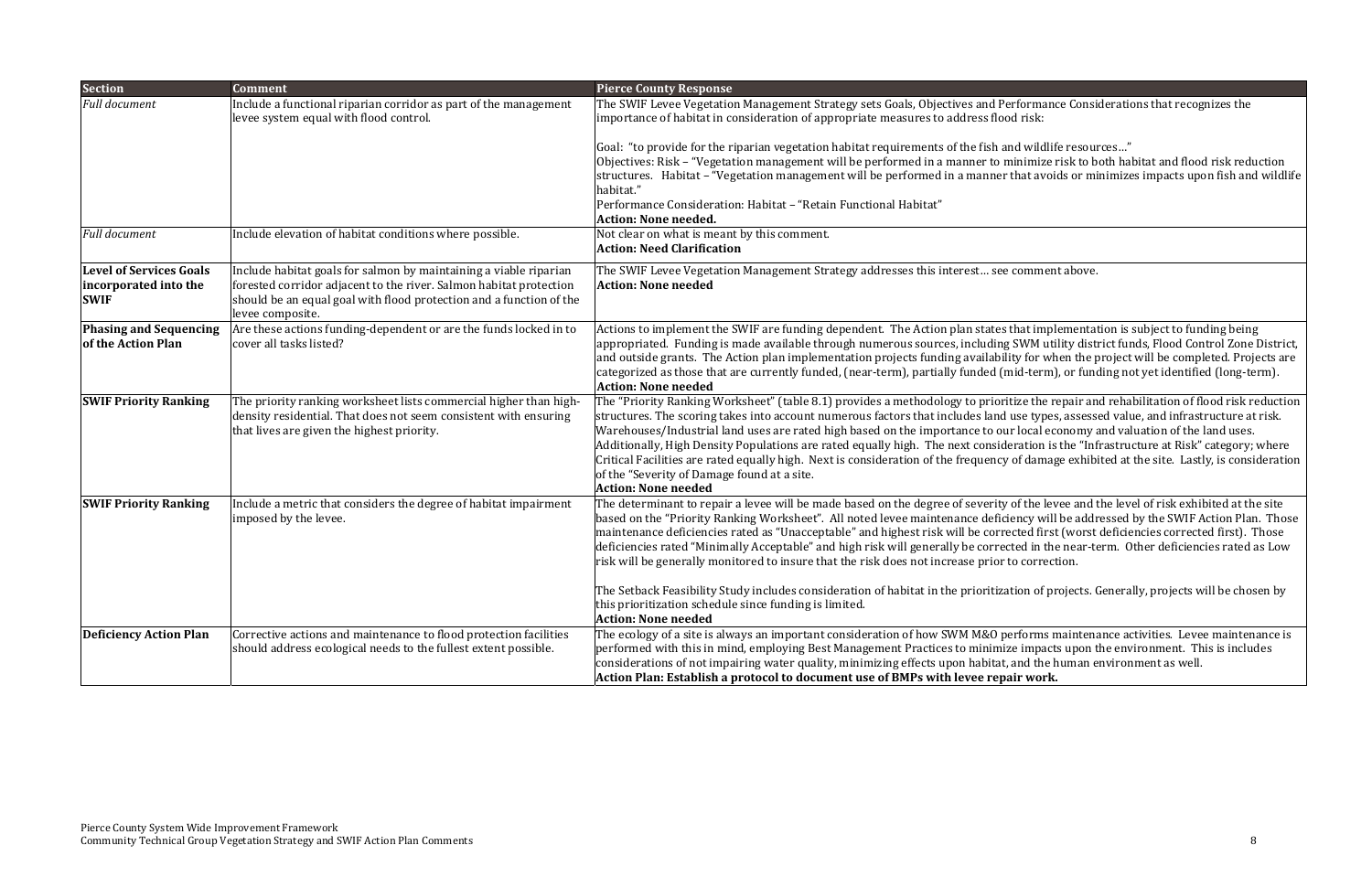erforms maintenance activities. Levee maintenance is ize impacts upon the environment. This is includes and the human environment as well. **Plan: Establish <sup>a</sup> protocol to document use of BMPs with levee repair work.**

| <b>Section</b>                                                         | <b>Comment</b>                                                                                                                                                                                                                     | <b>Pierce County Response</b>                                                                                                                                                                                                                                                                                                                                                                                                                                                                                                             |
|------------------------------------------------------------------------|------------------------------------------------------------------------------------------------------------------------------------------------------------------------------------------------------------------------------------|-------------------------------------------------------------------------------------------------------------------------------------------------------------------------------------------------------------------------------------------------------------------------------------------------------------------------------------------------------------------------------------------------------------------------------------------------------------------------------------------------------------------------------------------|
| <b>Full document</b>                                                   | Include a functional riparian corridor as part of the management<br>levee system equal with flood control.                                                                                                                         | The SWIF Levee Vegetation Management Strategy sets Goals, Objectives and Performa<br>importance of habitat in consideration of appropriate measures to address flood risk:                                                                                                                                                                                                                                                                                                                                                                |
|                                                                        |                                                                                                                                                                                                                                    | Goal: "to provide for the riparian vegetation habitat requirements of the fish and wild<br>Objectives: Risk – "Vegetation management will be performed in a manner to minimiz<br>structures. Habitat - "Vegetation management will be performed in a manner that av<br>habitat."<br>Performance Consideration: Habitat - "Retain Functional Habitat"<br><b>Action: None needed.</b>                                                                                                                                                       |
| <b>Full document</b>                                                   | Include elevation of habitat conditions where possible.                                                                                                                                                                            | Not clear on what is meant by this comment.<br><b>Action: Need Clarification</b>                                                                                                                                                                                                                                                                                                                                                                                                                                                          |
| <b>Level of Services Goals</b><br>incorporated into the<br><b>SWIF</b> | Include habitat goals for salmon by maintaining a viable riparian<br>forested corridor adjacent to the river. Salmon habitat protection<br>should be an equal goal with flood protection and a function of the<br>levee composite. | The SWIF Levee Vegetation Management Strategy addresses this interest see comme<br><b>Action: None needed</b>                                                                                                                                                                                                                                                                                                                                                                                                                             |
| <b>Phasing and Sequencing</b><br>of the Action Plan                    | Are these actions funding-dependent or are the funds locked in to<br>cover all tasks listed?                                                                                                                                       | Actions to implement the SWIF are funding dependent. The Action plan states that im<br>appropriated. Funding is made available through numerous sources, including SWM u<br>and outside grants. The Action plan implementation projects funding availability for v<br>categorized as those that are currently funded, (near-term), partially funded (mid-teri<br><b>Action: None needed</b>                                                                                                                                               |
| <b>SWIF Priority Ranking</b>                                           | The priority ranking worksheet lists commercial higher than high-<br>density residential. That does not seem consistent with ensuring<br>that lives are given the highest priority.                                                | The "Priority Ranking Worksheet" (table 8.1) provides a methodology to prioritize the<br>structures. The scoring takes into account numerous factors that includes land use typ<br>Warehouses/Industrial land uses are rated high based on the importance to our local<br>Additionally, High Density Populations are rated equally high. The next consideration<br>Critical Facilities are rated equally high. Next is consideration of the frequency of dam<br>of the "Severity of Damage found at a site.<br><b>Action: None needed</b> |
| <b>SWIF Priority Ranking</b>                                           | Include a metric that considers the degree of habitat impairment<br>imposed by the levee.                                                                                                                                          | The determinant to repair a levee will be made based on the degree of severity of the l<br>based on the "Priority Ranking Worksheet". All noted levee maintenance deficiency w<br>maintenance deficiencies rated as "Unacceptable" and highest risk will be corrected fii<br>deficiencies rated "Minimally Acceptable" and high risk will generally be corrected in t<br>risk will be generally monitored to insure that the risk does not increase prior to corre                                                                        |
|                                                                        |                                                                                                                                                                                                                                    | The Setback Feasibility Study includes consideration of habitat in the prioritization of<br>this prioritization schedule since funding is limited.<br><b>Action: None needed</b>                                                                                                                                                                                                                                                                                                                                                          |
| <b>Deficiency Action Plan</b>                                          | Corrective actions and maintenance to flood protection facilities<br>should address ecological needs to the fullest extent possible.                                                                                               | The ecology of a site is always an important consideration of how SWM M&O performs<br>performed with this in mind, employing Best Management Practices to minimize impa<br>considerations of not impairing water quality, minimizing effects upon habitat, and the<br>Action Plan: Establish a protocol to document use of BMPs with levee repair wor                                                                                                                                                                                     |

erformance Considerations that recognizes the

and wildlife resources…"

minimize risk to both habitat and flood risk reduction  $\cdot$  that avoids or minimizes impacts upon fish and wildlife

comment above.

 $\overline{\text{B}}$  that implementation is subject to funding being g SWM utility district funds, Flood Control Zone District, lity for when the project will be completed. Projects are  $mid-term$ ), or funding not yet identified (long-term).

 $\dot{x}$  ritize the repair and rehabilitation of flood risk reduction  $\mathsf I$  use types, assessed value, and infrastructure at risk. In local economy and valuation of the land uses. deration is the "Infrastructure at Risk" category; where of damage exhibited at the site. Lastly, is consideration

 $\alpha$  of the levee and the level of risk exhibited at the site iency will be addressed by the SWIF Action Plan. Those ected first (worst deficiencies corrected first). Those cted in the near-term. Other deficiencies rated as Low to correction.

ation of projects. Generally, projects will be chosen by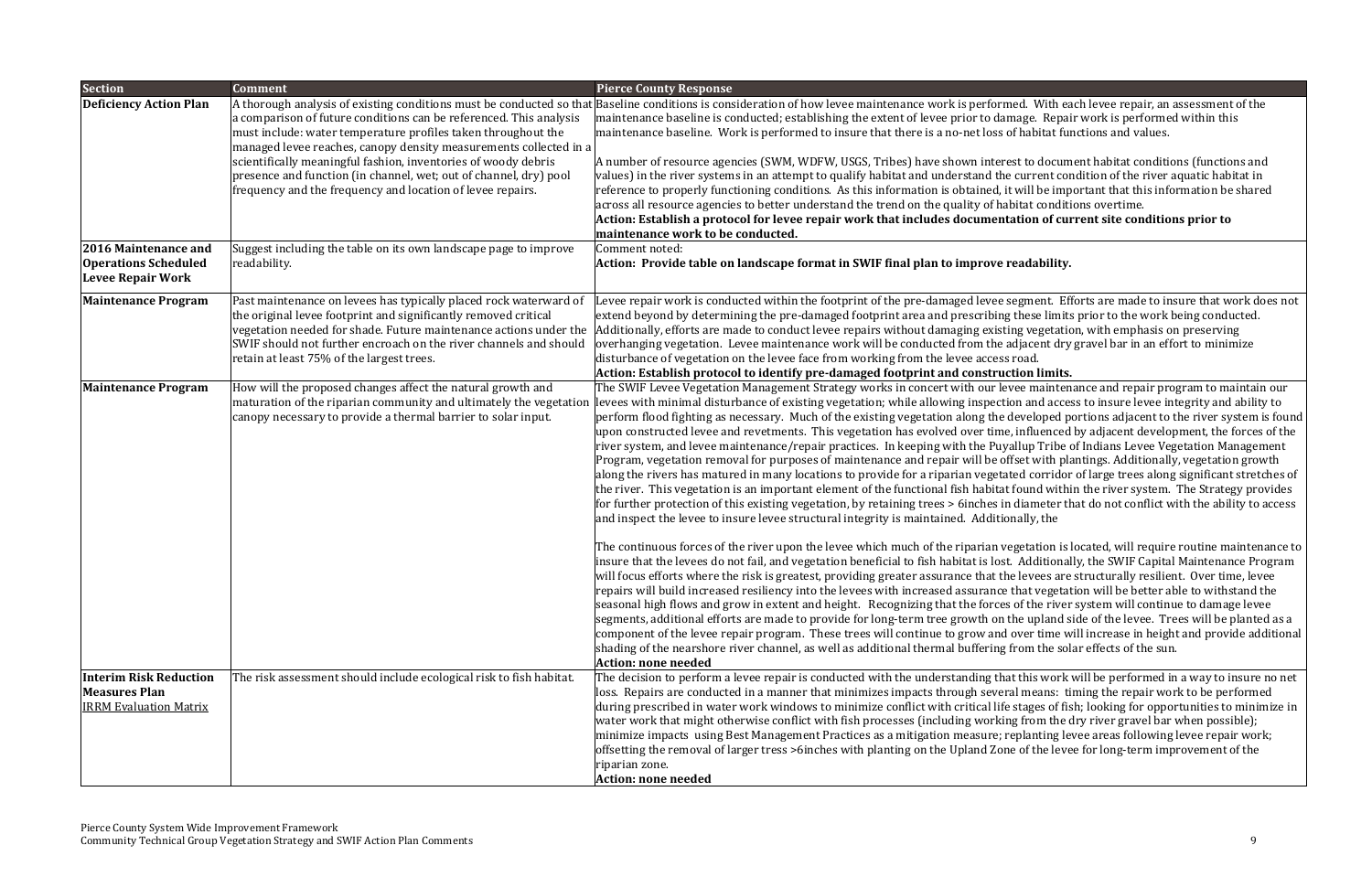**<sup>a</sup> protocol for levee repair work that includes documentation of current site conditions prior to**

#### **handscape format h**

segment. Efforts are made to insure that work does not g these limits prior to the work being conducted. ting vegetation, with emphasis on preserving adjacent dry gravel bar in an effort to minimize

#### **protocol to identify pre‐damaged footprint and construction limits.**

Pree maintenance and repair program to maintain our ion and access to insure levee integrity and ability to developed portions adjacent to the river system is found e, influenced by adjacent development, the forces of the vallup Tribe of Indians Levee Vegetation Management offset with plantings. Additionally, vegetation growth ated corridor of large trees along significant stretches of t found within the river system. The Strategy provides n diameter that do not conflict with the ability to access onally, the

regetation is located, will require routine maintenance to t. Additionally, the SWIF Capital Maintenance Program he levees are structurally resilient. Over time, levee  $\cdot$  that vegetation will be better able to withstand the is of the river system will continue to damage levee the upland side of the levee. Trees will be planted as a l over time will increase in height and provide additional shading the solar effects of the sun.

at this work will be performed in a way to insure no net ral means: timing the repair work to be performed e stages of fish; looking for opportunities to minimize in ng from the dry river gravel bar when possible); replanting levee areas following levee repair work; ne of the levee for long-term improvement of the

| <b>Section</b>                                                                         | <b>Comment</b>                                                                                                                                                                                                                                                                                                                                                                                                | <b>Pierce County Response</b>                                                                                                                                                                                                                                                                                                                                                                                                                                                                                                                                                                                                                                                                                                                                                                                                                                                                                                                                                                                                                                                                                                                                                                                                                                                                                                                                                                                                                                                                                                                                                                                                                                                                           |
|----------------------------------------------------------------------------------------|---------------------------------------------------------------------------------------------------------------------------------------------------------------------------------------------------------------------------------------------------------------------------------------------------------------------------------------------------------------------------------------------------------------|---------------------------------------------------------------------------------------------------------------------------------------------------------------------------------------------------------------------------------------------------------------------------------------------------------------------------------------------------------------------------------------------------------------------------------------------------------------------------------------------------------------------------------------------------------------------------------------------------------------------------------------------------------------------------------------------------------------------------------------------------------------------------------------------------------------------------------------------------------------------------------------------------------------------------------------------------------------------------------------------------------------------------------------------------------------------------------------------------------------------------------------------------------------------------------------------------------------------------------------------------------------------------------------------------------------------------------------------------------------------------------------------------------------------------------------------------------------------------------------------------------------------------------------------------------------------------------------------------------------------------------------------------------------------------------------------------------|
| <b>Deficiency Action Plan</b>                                                          | a comparison of future conditions can be referenced. This analysis<br>must include: water temperature profiles taken throughout the<br>managed levee reaches, canopy density measurements collected in a<br>scientifically meaningful fashion, inventories of woody debris<br>presence and function (in channel, wet; out of channel, dry) pool<br>frequency and the frequency and location of levee repairs. | A thorough analysis of existing conditions must be conducted so that Baseline conditions is consideration of how levee maintenance work is performed. W<br>maintenance baseline is conducted; establishing the extent of levee prior to damage.<br>maintenance baseline. Work is performed to insure that there is a no-net loss of habit<br>A number of resource agencies (SWM, WDFW, USGS, Tribes) have shown interest to d<br>values) in the river systems in an attempt to qualify habitat and understand the curre<br>reference to properly functioning conditions. As this information is obtained, it will b<br>across all resource agencies to better understand the trend on the quality of habitat co<br>Action: Establish a protocol for levee repair work that includes documentation<br>maintenance work to be conducted.                                                                                                                                                                                                                                                                                                                                                                                                                                                                                                                                                                                                                                                                                                                                                                                                                                                                  |
| 2016 Maintenance and<br><b>Operations Scheduled</b><br><b>Levee Repair Work</b>        | Suggest including the table on its own landscape page to improve<br>readability.                                                                                                                                                                                                                                                                                                                              | Comment noted:<br>Action: Provide table on landscape format in SWIF final plan to improve readab                                                                                                                                                                                                                                                                                                                                                                                                                                                                                                                                                                                                                                                                                                                                                                                                                                                                                                                                                                                                                                                                                                                                                                                                                                                                                                                                                                                                                                                                                                                                                                                                        |
| <b>Maintenance Program</b>                                                             | Past maintenance on levees has typically placed rock waterward of<br>the original levee footprint and significantly removed critical<br>vegetation needed for shade. Future maintenance actions under the<br>SWIF should not further encroach on the river channels and should<br>retain at least 75% of the largest trees.                                                                                   | Levee repair work is conducted within the footprint of the pre-damaged levee segmer<br>extend beyond by determining the pre-damaged footprint area and prescribing these<br>Additionally, efforts are made to conduct levee repairs without damaging existing veg<br>overhanging vegetation. Levee maintenance work will be conducted from the adjacer<br>disturbance of vegetation on the levee face from working from the levee access road.<br>Action: Establish protocol to identify pre-damaged footprint and construction li                                                                                                                                                                                                                                                                                                                                                                                                                                                                                                                                                                                                                                                                                                                                                                                                                                                                                                                                                                                                                                                                                                                                                                      |
| <b>Maintenance Program</b>                                                             | How will the proposed changes affect the natural growth and<br>maturation of the riparian community and ultimately the vegetation<br>canopy necessary to provide a thermal barrier to solar input.                                                                                                                                                                                                            | The SWIF Levee Vegetation Management Strategy works in concert with our levee ma<br>levees with minimal disturbance of existing vegetation; while allowing inspection and<br>perform flood fighting as necessary. Much of the existing vegetation along the develop<br>upon constructed levee and revetments. This vegetation has evolved over time, influe<br>river system, and levee maintenance/repair practices. In keeping with the Puyallup T<br>Program, vegetation removal for purposes of maintenance and repair will be offset wi<br>along the rivers has matured in many locations to provide for a riparian vegetated cor<br>the river. This vegetation is an important element of the functional fish habitat found<br>for further protection of this existing vegetation, by retaining trees > 6inches in diame<br>and inspect the levee to insure levee structural integrity is maintained. Additionally, t<br>The continuous forces of the river upon the levee which much of the riparian vegetati<br>insure that the levees do not fail, and vegetation beneficial to fish habitat is lost. Addi<br>will focus efforts where the risk is greatest, providing greater assurance that the levee<br>repairs will build increased resiliency into the levees with increased assurance that ve<br>seasonal high flows and grow in extent and height. Recognizing that the forces of the<br>segments, additional efforts are made to provide for long-term tree growth on the upl<br>component of the levee repair program. These trees will continue to grow and over ti<br>shading of the nearshore river channel, as well as additional thermal buffering from th<br>Action: none needed |
| <b>Interim Risk Reduction</b><br><b>Measures Plan</b><br><b>IRRM Evaluation Matrix</b> | The risk assessment should include ecological risk to fish habitat.                                                                                                                                                                                                                                                                                                                                           | The decision to perform a levee repair is conducted with the understanding that this v<br>loss. Repairs are conducted in a manner that minimizes impacts through several mea<br>during prescribed in water work windows to minimize conflict with critical life stages<br>water work that might otherwise conflict with fish processes (including working from<br>minimize impacts using Best Management Practices as a mitigation measure; replant<br>offsetting the removal of larger tress >6inches with planting on the Upland Zone of the<br>riparian zone.<br>Action: none needed                                                                                                                                                                                                                                                                                                                                                                                                                                                                                                                                                                                                                                                                                                                                                                                                                                                                                                                                                                                                                                                                                                                 |

med. With each levee repair, an assessment of the mage. Repair work is performed within this of habitat functions and values.

est to document habitat conditions (functions and e current condition of the river aquatic habitat in it will be important that this information be shared abitat conditions overtime.